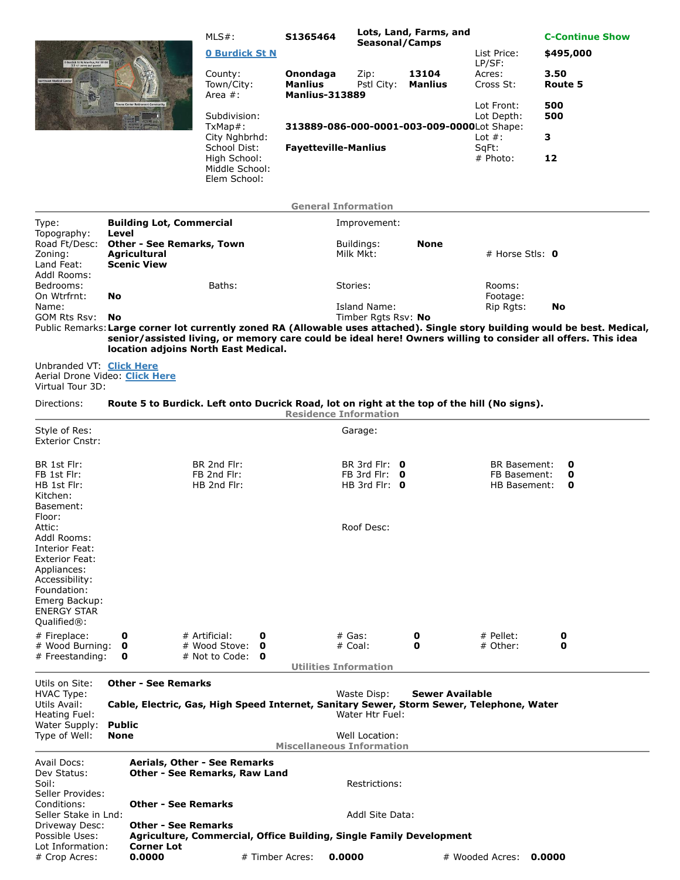|                                                                                                  |                                                                                                                                               |                             | $MLS#$ :                                                                                                                                                                                                                                                                             | S1365464                                            | Lots, Land, Farms, and<br><b>Seasonal/Camps</b> |                          |                           |                 | <b>C-Continue Show</b> |  |  |
|--------------------------------------------------------------------------------------------------|-----------------------------------------------------------------------------------------------------------------------------------------------|-----------------------------|--------------------------------------------------------------------------------------------------------------------------------------------------------------------------------------------------------------------------------------------------------------------------------------|-----------------------------------------------------|-------------------------------------------------|--------------------------|---------------------------|-----------------|------------------------|--|--|
|                                                                                                  |                                                                                                                                               |                             | <b>0 Burdick St N</b>                                                                                                                                                                                                                                                                |                                                     |                                                 |                          | List Price:<br>LP/SF:     | \$495,000       |                        |  |  |
|                                                                                                  |                                                                                                                                               |                             | County:<br>Town/City:<br>Area $#$ :                                                                                                                                                                                                                                                  | Onondaga<br><b>Manlius</b><br><b>Manlius-313889</b> | Zip:<br>Pstl City:                              | 13104<br><b>Manlius</b>  | Acres:<br>Cross St:       | 3.50<br>Route 5 |                        |  |  |
|                                                                                                  |                                                                                                                                               |                             | Subdivision:<br>$TxMap#$ :                                                                                                                                                                                                                                                           | 313889-086-000-0001-003-009-0000Lot Shape:          |                                                 | Lot Front:<br>Lot Depth: | 500<br>500                |                 |                        |  |  |
|                                                                                                  |                                                                                                                                               |                             | City Nghbrhd:                                                                                                                                                                                                                                                                        |                                                     |                                                 |                          | Lot $#$ :                 | 3               |                        |  |  |
|                                                                                                  |                                                                                                                                               |                             | School Dist:<br>High School:<br>Middle School:<br>Elem School:                                                                                                                                                                                                                       | <b>Fayetteville-Manlius</b>                         |                                                 |                          | SqFt:<br># Photo:         | 12              |                        |  |  |
|                                                                                                  |                                                                                                                                               |                             |                                                                                                                                                                                                                                                                                      | <b>General Information</b>                          |                                                 |                          |                           |                 |                        |  |  |
| Type:                                                                                            | <b>Building Lot, Commercial</b>                                                                                                               |                             |                                                                                                                                                                                                                                                                                      |                                                     | Improvement:                                    |                          |                           |                 |                        |  |  |
| Topography:<br>Road Ft/Desc:<br>Zoning:<br>Land Feat:<br>Addl Rooms:<br>Bedrooms:<br>On Wtrfrnt: | Level<br><b>Other - See Remarks, Town</b><br><b>Agricultural</b><br><b>Scenic View</b>                                                        |                             |                                                                                                                                                                                                                                                                                      |                                                     | Buildings:<br>Milk Mkt:                         | <b>None</b>              | # Horse Stls: $\mathbf 0$ |                 |                        |  |  |
|                                                                                                  | <b>No</b>                                                                                                                                     |                             | Baths:                                                                                                                                                                                                                                                                               | Stories:                                            |                                                 | Rooms:<br>Footage:       |                           |                 |                        |  |  |
| Name:<br>GOM Rts Rsv:                                                                            | No                                                                                                                                            |                             |                                                                                                                                                                                                                                                                                      |                                                     | Island Name:<br>Timber Rgts Rsv: No             |                          | Rip Rgts:                 | No              |                        |  |  |
|                                                                                                  |                                                                                                                                               |                             | Public Remarks: Large corner lot currently zoned RA (Allowable uses attached). Single story building would be best. Medical,<br>senior/assisted living, or memory care could be ideal here! Owners willing to consider all offers. This idea<br>location adjoins North East Medical. |                                                     |                                                 |                          |                           |                 |                        |  |  |
| Unbranded VT: Click Here<br>Aerial Drone Video: Click Here<br>Virtual Tour 3D:                   |                                                                                                                                               |                             |                                                                                                                                                                                                                                                                                      |                                                     |                                                 |                          |                           |                 |                        |  |  |
| Directions:                                                                                      |                                                                                                                                               |                             | Route 5 to Burdick. Left onto Ducrick Road, lot on right at the top of the hill (No signs).                                                                                                                                                                                          | <b>Residence Information</b>                        |                                                 |                          |                           |                 |                        |  |  |
| Style of Res:                                                                                    |                                                                                                                                               |                             |                                                                                                                                                                                                                                                                                      |                                                     | Garage:                                         |                          |                           |                 |                        |  |  |
| <b>Exterior Cnstr:</b>                                                                           |                                                                                                                                               |                             |                                                                                                                                                                                                                                                                                      |                                                     |                                                 |                          |                           |                 |                        |  |  |
| BR 1st Flr:                                                                                      |                                                                                                                                               |                             | BR 2nd Flr:                                                                                                                                                                                                                                                                          |                                                     | BR 3rd Flr: 0                                   |                          | <b>BR Basement:</b>       | 0               |                        |  |  |
| FB 1st Flr:                                                                                      |                                                                                                                                               |                             | FB 2nd Flr:                                                                                                                                                                                                                                                                          |                                                     | FB 3rd Flr: $\theta$                            |                          | FB Basement:              | 0               |                        |  |  |
| HB 1st Flr:<br>Kitchen:<br>Basement:                                                             |                                                                                                                                               |                             | HB 2nd Flr:                                                                                                                                                                                                                                                                          |                                                     | HB 3rd Flr: 0                                   |                          | HB Basement:              | 0               |                        |  |  |
| Floor:<br>Attic:<br>Addl Rooms:<br>Interior Feat:<br><b>Exterior Feat:</b><br>Appliances:        |                                                                                                                                               |                             |                                                                                                                                                                                                                                                                                      |                                                     | Roof Desc:                                      |                          |                           |                 |                        |  |  |
| Accessibility:<br>Foundation:<br>Emerg Backup:<br><b>ENERGY STAR</b><br>Qualified <sup>®</sup> : |                                                                                                                                               |                             |                                                                                                                                                                                                                                                                                      |                                                     |                                                 |                          |                           |                 |                        |  |  |
| # Fireplace:                                                                                     | 0                                                                                                                                             |                             | # Artificial:<br>0                                                                                                                                                                                                                                                                   |                                                     | $#$ Gas:                                        | 0                        | # Pellet:                 | 0               |                        |  |  |
| # Wood Burning:<br># Freestanding:                                                               | 0<br>0                                                                                                                                        |                             | # Wood Stove:<br>0<br># Not to Code: $\bullet$                                                                                                                                                                                                                                       |                                                     | # Coal:                                         | 0                        | # Other:                  | 0               |                        |  |  |
|                                                                                                  |                                                                                                                                               |                             |                                                                                                                                                                                                                                                                                      | <b>Utilities Information</b>                        |                                                 |                          |                           |                 |                        |  |  |
| Utils on Site:                                                                                   | <b>Other - See Remarks</b>                                                                                                                    |                             |                                                                                                                                                                                                                                                                                      |                                                     |                                                 |                          |                           |                 |                        |  |  |
| <b>HVAC Type:</b><br>Utils Avail:                                                                | Sewer Available<br>Waste Disp:<br>Cable, Electric, Gas, High Speed Internet, Sanitary Sewer, Storm Sewer, Telephone, Water<br>Water Htr Fuel: |                             |                                                                                                                                                                                                                                                                                      |                                                     |                                                 |                          |                           |                 |                        |  |  |
| Heating Fuel:<br>Water Supply:                                                                   | <b>Public</b>                                                                                                                                 |                             |                                                                                                                                                                                                                                                                                      |                                                     |                                                 |                          |                           |                 |                        |  |  |
| Type of Well:                                                                                    | None                                                                                                                                          |                             |                                                                                                                                                                                                                                                                                      | <b>Miscellaneous Information</b>                    | Well Location:                                  |                          |                           |                 |                        |  |  |
| Avail Docs:                                                                                      | Aerials, Other - See Remarks                                                                                                                  |                             |                                                                                                                                                                                                                                                                                      |                                                     |                                                 |                          |                           |                 |                        |  |  |
| Dev Status:<br>Soil:                                                                             |                                                                                                                                               |                             | Other - See Remarks, Raw Land                                                                                                                                                                                                                                                        |                                                     | Restrictions:                                   |                          |                           |                 |                        |  |  |
| Seller Provides:<br>Conditions:                                                                  |                                                                                                                                               | <b>Other - See Remarks</b>  |                                                                                                                                                                                                                                                                                      |                                                     |                                                 |                          |                           |                 |                        |  |  |
| Seller Stake in Lnd:                                                                             |                                                                                                                                               |                             |                                                                                                                                                                                                                                                                                      |                                                     | Addl Site Data:                                 |                          |                           |                 |                        |  |  |
| Driveway Desc:<br>Possible Uses:                                                                 |                                                                                                                                               | <b>Other - See Remarks</b>  | Agriculture, Commercial, Office Building, Single Family Development                                                                                                                                                                                                                  |                                                     |                                                 |                          |                           |                 |                        |  |  |
| Lot Information:<br># Crop Acres:                                                                |                                                                                                                                               | <b>Corner Lot</b><br>0.0000 | # Timber Acres:                                                                                                                                                                                                                                                                      | 0.0000                                              |                                                 |                          | # Wooded Acres:           | 0.0000          |                        |  |  |